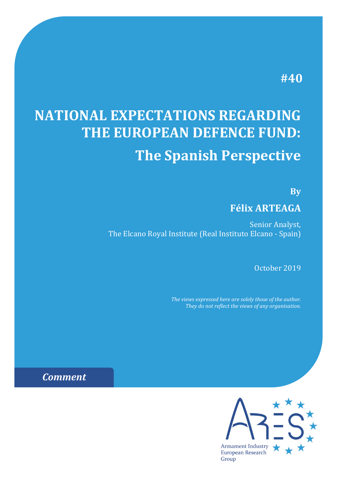# **#40**

# **NATIONAL EXPECTATIONS REGARDING THE EUROPEAN DEFENCE FUND: The Spanish Perspective**

**By**

# **Félix ARTEAGA**

Senior Analyst, The Elcano Royal Institute (Real Instituto Elcano - Spain)

October 2019

*The views expressed here are solely those of the author. They do not reflect the views of any organisation.*



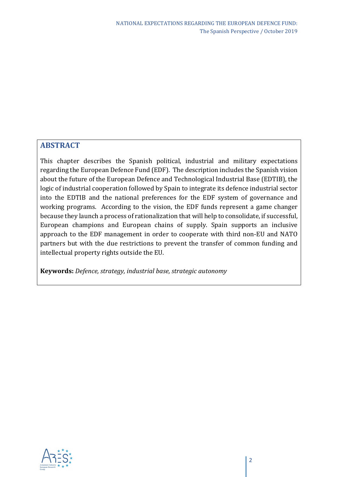## **ABSTRACT**

This chapter describes the Spanish political, industrial and military expectations regarding the European Defence Fund (EDF). The description includes the Spanish vision about the future of the European Defence and Technological Industrial Base (EDTIB), the logic of industrial cooperation followed by Spain to integrate its defence industrial sector into the EDTIB and the national preferences for the EDF system of governance and working programs. According to the vision, the EDF funds represent a game changer because they launch a process of rationalization that will help to consolidate, if successful, European champions and European chains of supply. Spain supports an inclusive approach to the EDF management in order to cooperate with third non-EU and NATO partners but with the due restrictions to prevent the transfer of common funding and intellectual property rights outside the EU.

**Keywords:** *Defence, strategy, industrial base, strategic autonomy*

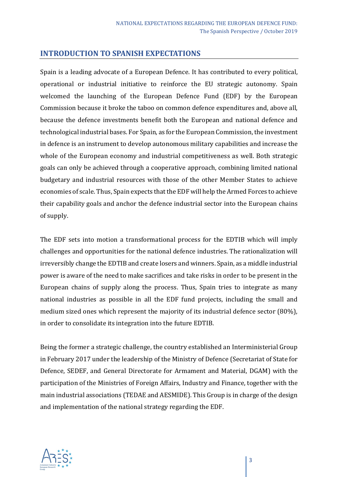#### **INTRODUCTION TO SPANISH EXPECTATIONS**

Spain is a leading advocate of a European Defence. It has contributed to every political, operational or industrial initiative to reinforce the EU strategic autonomy. Spain welcomed the launching of the European Defence Fund (EDF) by the European Commission because it broke the taboo on common defence expenditures and, above all, because the defence investments benefit both the European and national defence and technological industrial bases. For Spain, as for the European Commission, the investment in defence is an instrument to develop autonomous military capabilities and increase the whole of the European economy and industrial competitiveness as well. Both strategic goals can only be achieved through a cooperative approach, combining limited national budgetary and industrial resources with those of the other Member States to achieve economies of scale. Thus, Spain expects that the EDF will help the Armed Forces to achieve their capability goals and anchor the defence industrial sector into the European chains of supply.

The EDF sets into motion a transformational process for the EDTIB which will imply challenges and opportunities for the national defence industries. The rationalization will irreversibly change the EDTIB and create losers and winners. Spain, as a middle industrial power is aware of the need to make sacrifices and take risks in order to be present in the European chains of supply along the process. Thus, Spain tries to integrate as many national industries as possible in all the EDF fund projects, including the small and medium sized ones which represent the majority of its industrial defence sector (80%), in order to consolidate its integration into the future EDTIB.

Being the former a strategic challenge, the country established an Interministerial Group in February 2017 under the leadership of the Ministry of Defence (Secretariat of State for Defence, SEDEF, and General Directorate for Armament and Material, DGAM) with the participation of the Ministries of Foreign Affairs, Industry and Finance, together with the main industrial associations (TEDAE and AESMIDE). This Group is in charge of the design and implementation of the national strategy regarding the EDF.

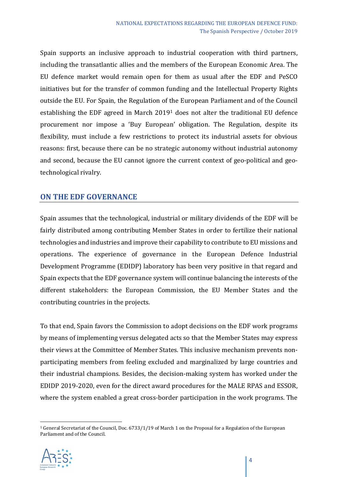Spain supports an inclusive approach to industrial cooperation with third partners, including the transatlantic allies and the members of the European Economic Area. The EU defence market would remain open for them as usual after the EDF and PeSCO initiatives but for the transfer of common funding and the Intellectual Property Rights outside the EU. For Spain, the Regulation of the European Parliament and of the Council establishing the EDF agreed in March 2019[1](#page-3-0) does not alter the traditional EU defence procurement nor impose a 'Buy European' obligation. The Regulation, despite its flexibility, must include a few restrictions to protect its industrial assets for obvious reasons: first, because there can be no strategic autonomy without industrial autonomy and second, because the EU cannot ignore the current context of geo-political and geotechnological rivalry.

### **ON THE EDF GOVERNANCE**

Spain assumes that the technological, industrial or military dividends of the EDF will be fairly distributed among contributing Member States in order to fertilize their national technologies and industries and improve their capability to contribute to EU missions and operations. The experience of governance in the European Defence Industrial Development Programme (EDIDP) laboratory has been very positive in that regard and Spain expects that the EDF governance system will continue balancing the interests of the different stakeholders: the European Commission, the EU Member States and the contributing countries in the projects.

To that end, Spain favors the Commission to adopt decisions on the EDF work programs by means of implementing versus delegated acts so that the Member States may express their views at the Committee of Member States. This inclusive mechanism prevents nonparticipating members from feeling excluded and marginalized by large countries and their industrial champions. Besides, the decision-making system has worked under the EDIDP 2019-2020, even for the direct award procedures for the MALE RPAS and ESSOR, where the system enabled a great cross-border participation in the work programs. The

<span id="page-3-0"></span><sup>1</sup> General Secretariat of the Council, Doc. 6733/1/19 of March 1 on the Proposal for a Regulation of the European Parliament and of the Council.

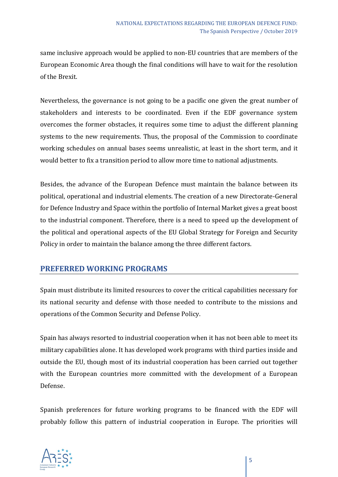same inclusive approach would be applied to non-EU countries that are members of the European Economic Area though the final conditions will have to wait for the resolution of the Brexit.

Nevertheless, the governance is not going to be a pacific one given the great number of stakeholders and interests to be coordinated. Even if the EDF governance system overcomes the former obstacles, it requires some time to adjust the different planning systems to the new requirements. Thus, the proposal of the Commission to coordinate working schedules on annual bases seems unrealistic, at least in the short term, and it would better to fix a transition period to allow more time to national adjustments.

Besides, the advance of the European Defence must maintain the balance between its political, operational and industrial elements. The creation of a new Directorate-General for Defence Industry and Space within the portfolio of Internal Market gives a great boost to the industrial component. Therefore, there is a need to speed up the development of the political and operational aspects of the EU Global Strategy for Foreign and Security Policy in order to maintain the balance among the three different factors.

## **PREFERRED WORKING PROGRAMS**

Spain must distribute its limited resources to cover the critical capabilities necessary for its national security and defense with those needed to contribute to the missions and operations of the Common Security and Defense Policy.

Spain has always resorted to industrial cooperation when it has not been able to meet its military capabilities alone. It has developed work programs with third parties inside and outside the EU, though most of its industrial cooperation has been carried out together with the European countries more committed with the development of a European Defense.

Spanish preferences for future working programs to be financed with the EDF will probably follow this pattern of industrial cooperation in Europe. The priorities will

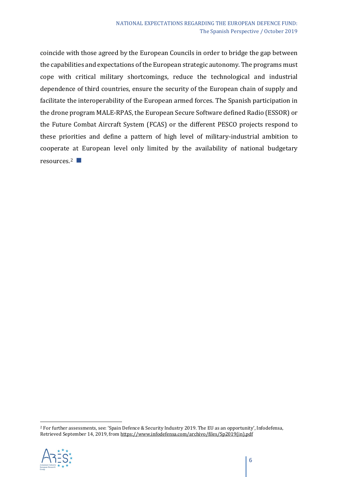coincide with those agreed by the European Councils in order to bridge the gap between the capabilities and expectations of the European strategic autonomy. The programs must cope with critical military shortcomings, reduce the technological and industrial dependence of third countries, ensure the security of the European chain of supply and facilitate the interoperability of the European armed forces. The Spanish participation in the drone program MALE-RPAS, the European Secure Software defined Radio (ESSOR) or the Future Combat Aircraft System (FCAS) or the different PESCO projects respond to these priorities and define a pattern of high level of military-industrial ambition to cooperate at European level only limited by the availability of national budgetary resources.<sup>2</sup> ■

<span id="page-5-0"></span><sup>2</sup> For further assessments, see: 'Spain Defence & Security Industry 2019. The EU as an opportunity', Infodefensa, Retrieved September 14, 2019, fro[m https://www.infodefensa.com/archivo/files/Sp2019\(in\).pdf](https://www.infodefensa.com/archivo/files/Sp2019(in).pdf)